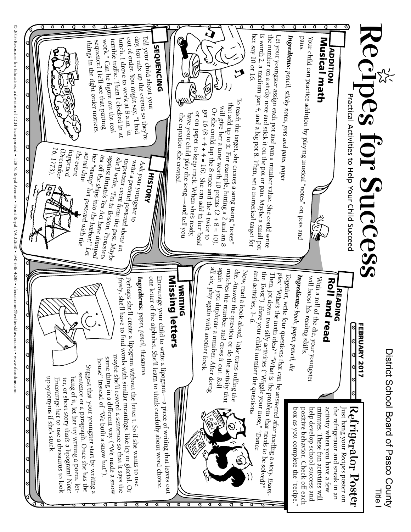

© 2016 Resources for Educators, a division of CCH Incorporated • 128 N. Royal Avenue • Front Royal, VA 22630 • 540-636-4280 • recustomer@wolterskluwer.com • www.rfeonline.com © 2016 Resources for Educators, a division of CCH Incorporated • 128 N. Royal Avenue • Front Royal, VA 22630 • 540-636-4280 • rfecustomer@wolterskluwer.com • www.rfeonline.com